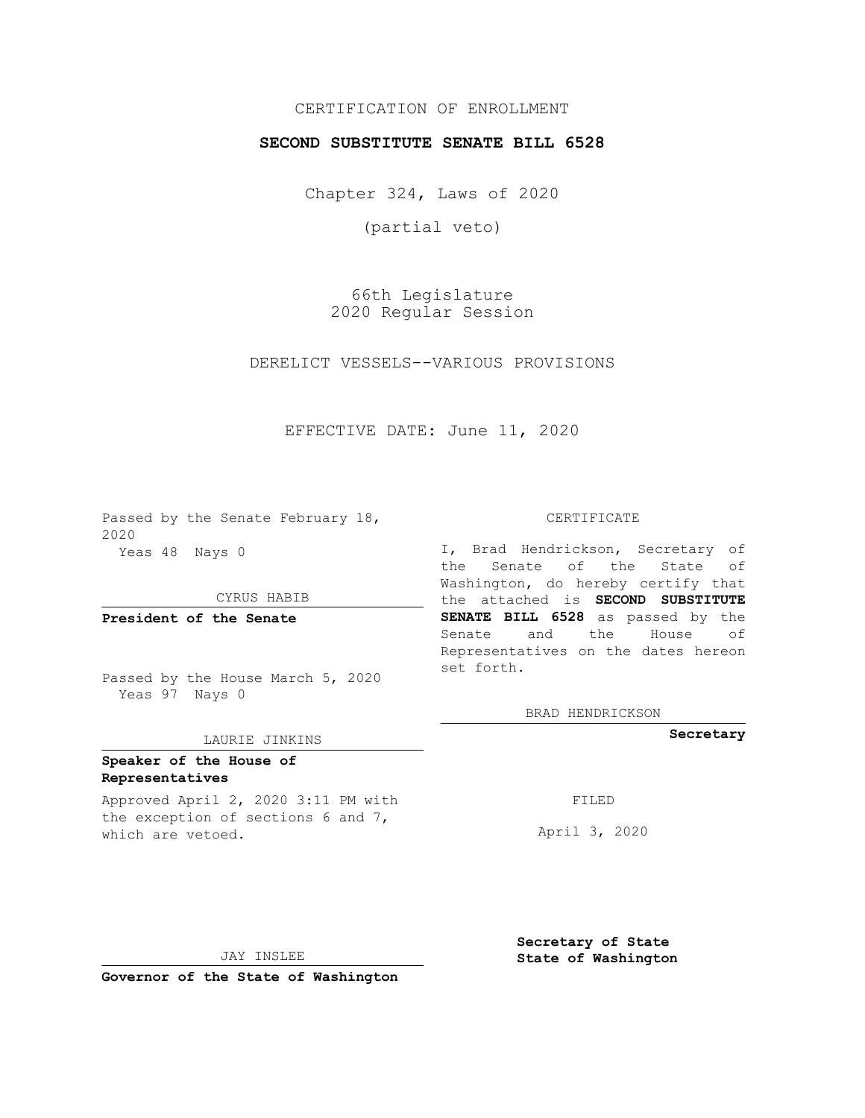## CERTIFICATION OF ENROLLMENT

## **SECOND SUBSTITUTE SENATE BILL 6528**

Chapter 324, Laws of 2020

(partial veto)

66th Legislature 2020 Regular Session

DERELICT VESSELS--VARIOUS PROVISIONS

EFFECTIVE DATE: June 11, 2020

Passed by the Senate February 18, 2020 Yeas 48 Nays 0

CYRUS HABIB

**President of the Senate**

Passed by the House March 5, 2020 Yeas 97 Nays 0

#### LAURIE JINKINS

# **Speaker of the House of Representatives**

Approved April 2, 2020 3:11 PM with the exception of sections 6 and 7, which are vetoed.

CERTIFICATE

I, Brad Hendrickson, Secretary of the Senate of the State of Washington, do hereby certify that the attached is **SECOND SUBSTITUTE SENATE BILL 6528** as passed by the Senate and the House of Representatives on the dates hereon set forth.

BRAD HENDRICKSON

**Secretary**

FILED

April 3, 2020

JAY INSLEE

**Governor of the State of Washington**

**Secretary of State State of Washington**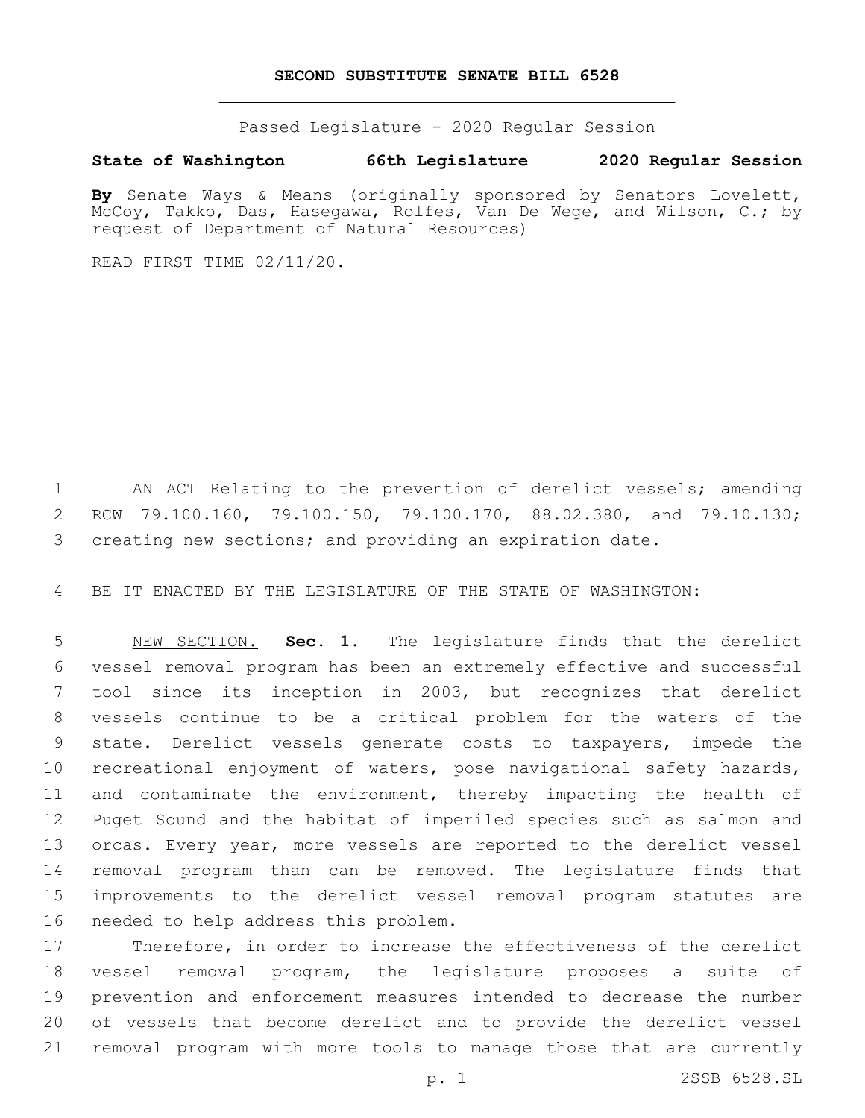### **SECOND SUBSTITUTE SENATE BILL 6528**

Passed Legislature - 2020 Regular Session

## **State of Washington 66th Legislature 2020 Regular Session**

**By** Senate Ways & Means (originally sponsored by Senators Lovelett, McCoy, Takko, Das, Hasegawa, Rolfes, Van De Wege, and Wilson, C.; by request of Department of Natural Resources)

READ FIRST TIME 02/11/20.

 AN ACT Relating to the prevention of derelict vessels; amending RCW 79.100.160, 79.100.150, 79.100.170, 88.02.380, and 79.10.130; creating new sections; and providing an expiration date.

BE IT ENACTED BY THE LEGISLATURE OF THE STATE OF WASHINGTON:

 NEW SECTION. **Sec. 1.** The legislature finds that the derelict vessel removal program has been an extremely effective and successful tool since its inception in 2003, but recognizes that derelict vessels continue to be a critical problem for the waters of the state. Derelict vessels generate costs to taxpayers, impede the recreational enjoyment of waters, pose navigational safety hazards, and contaminate the environment, thereby impacting the health of Puget Sound and the habitat of imperiled species such as salmon and orcas. Every year, more vessels are reported to the derelict vessel removal program than can be removed. The legislature finds that improvements to the derelict vessel removal program statutes are needed to help address this problem.

 Therefore, in order to increase the effectiveness of the derelict vessel removal program, the legislature proposes a suite of prevention and enforcement measures intended to decrease the number of vessels that become derelict and to provide the derelict vessel removal program with more tools to manage those that are currently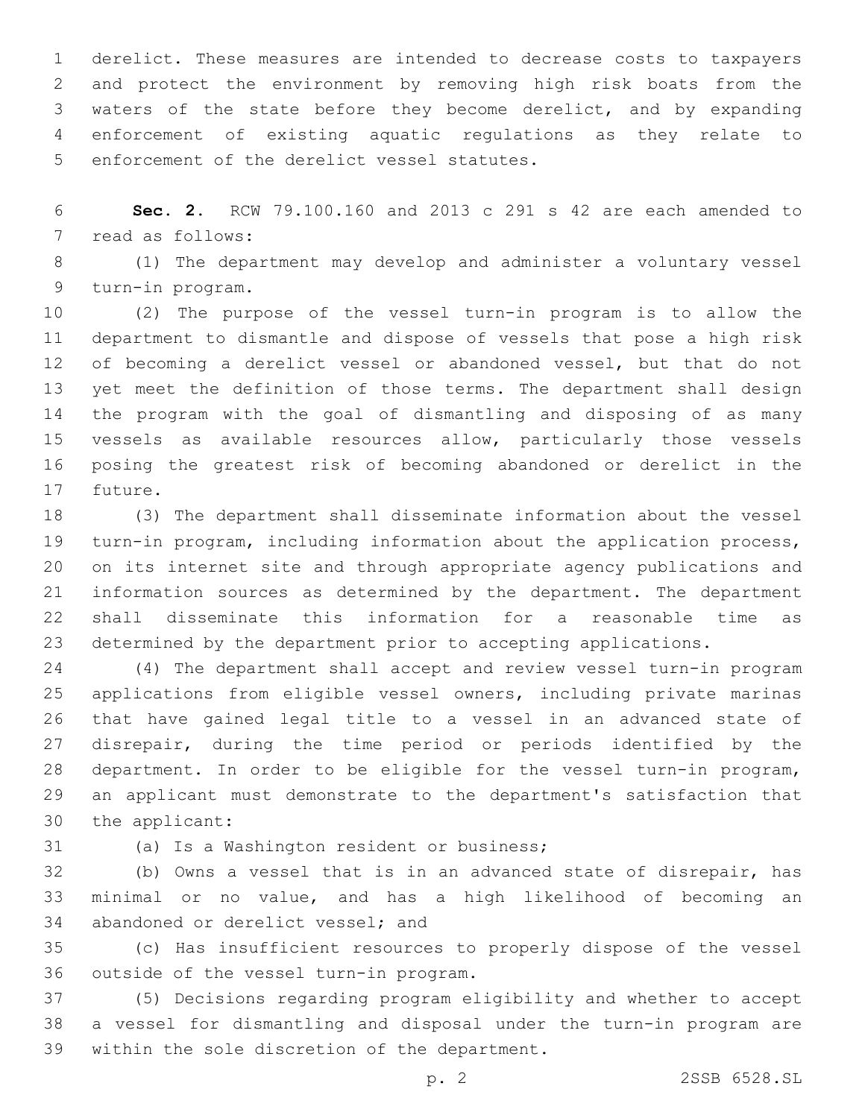derelict. These measures are intended to decrease costs to taxpayers and protect the environment by removing high risk boats from the waters of the state before they become derelict, and by expanding enforcement of existing aquatic regulations as they relate to 5 enforcement of the derelict vessel statutes.

 **Sec. 2.** RCW 79.100.160 and 2013 c 291 s 42 are each amended to 7 read as follows:

 (1) The department may develop and administer a voluntary vessel 9 turn-in program.

 (2) The purpose of the vessel turn-in program is to allow the department to dismantle and dispose of vessels that pose a high risk of becoming a derelict vessel or abandoned vessel, but that do not yet meet the definition of those terms. The department shall design the program with the goal of dismantling and disposing of as many vessels as available resources allow, particularly those vessels posing the greatest risk of becoming abandoned or derelict in the 17 future.

 (3) The department shall disseminate information about the vessel turn-in program, including information about the application process, on its internet site and through appropriate agency publications and information sources as determined by the department. The department shall disseminate this information for a reasonable time as determined by the department prior to accepting applications.

 (4) The department shall accept and review vessel turn-in program applications from eligible vessel owners, including private marinas that have gained legal title to a vessel in an advanced state of disrepair, during the time period or periods identified by the department. In order to be eligible for the vessel turn-in program, an applicant must demonstrate to the department's satisfaction that 30 the applicant:

31 (a) Is a Washington resident or business;

 (b) Owns a vessel that is in an advanced state of disrepair, has minimal or no value, and has a high likelihood of becoming an 34 abandoned or derelict vessel; and

 (c) Has insufficient resources to properly dispose of the vessel 36 outside of the vessel turn-in program.

 (5) Decisions regarding program eligibility and whether to accept a vessel for dismantling and disposal under the turn-in program are 39 within the sole discretion of the department.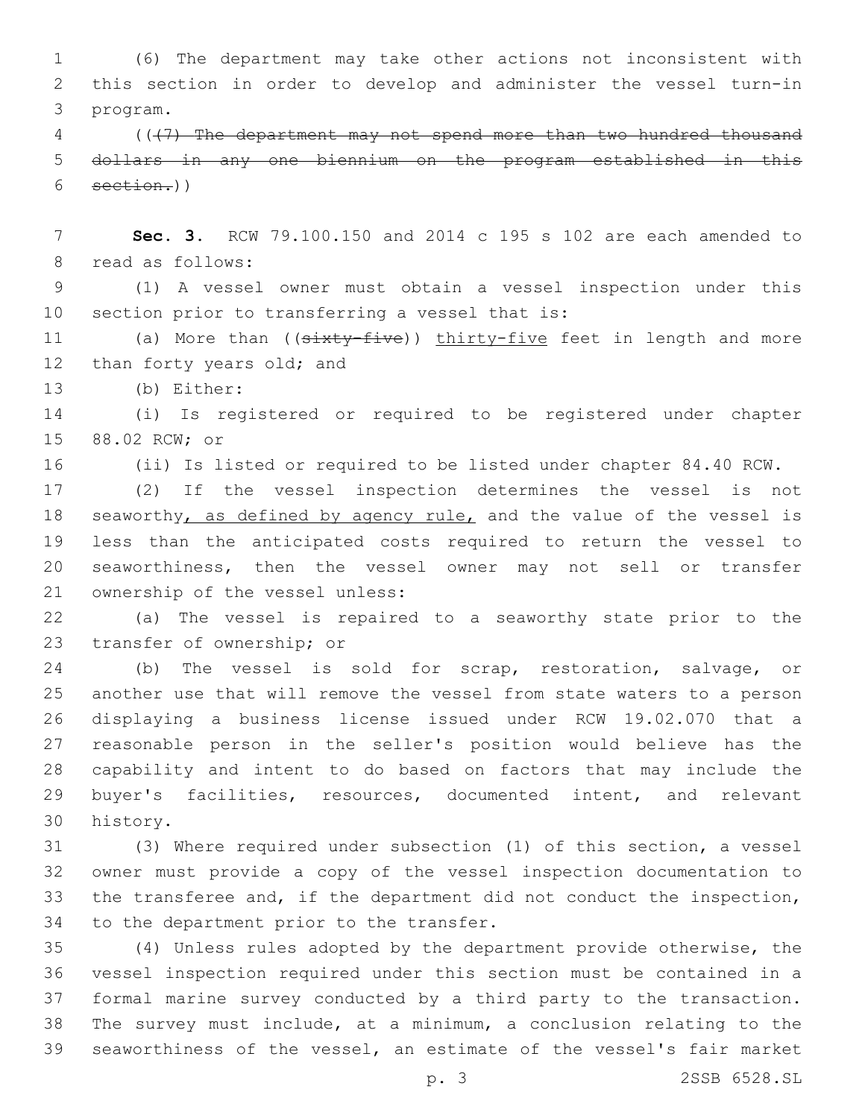(6) The department may take other actions not inconsistent with this section in order to develop and administer the vessel turn-in program.3

 (((7) The department may not spend more than two hundred thousand dollars in any one biennium on the program established in this  $6 \quad \text{section.}$ 

 **Sec. 3.** RCW 79.100.150 and 2014 c 195 s 102 are each amended to 8 read as follows:

 (1) A vessel owner must obtain a vessel inspection under this 10 section prior to transferring a vessel that is:

11 (a) More than ((sixty-five)) thirty-five feet in length and more 12 than forty years old; and

13 (b) Either:

 (i) Is registered or required to be registered under chapter 15 88.02 RCW; or

(ii) Is listed or required to be listed under chapter 84.40 RCW.

 (2) If the vessel inspection determines the vessel is not 18 seaworthy, as defined by agency rule, and the value of the vessel is less than the anticipated costs required to return the vessel to seaworthiness, then the vessel owner may not sell or transfer 21 ownership of the vessel unless:

 (a) The vessel is repaired to a seaworthy state prior to the 23 transfer of ownership; or

 (b) The vessel is sold for scrap, restoration, salvage, or another use that will remove the vessel from state waters to a person displaying a business license issued under RCW 19.02.070 that a reasonable person in the seller's position would believe has the capability and intent to do based on factors that may include the buyer's facilities, resources, documented intent, and relevant 30 history.

 (3) Where required under subsection (1) of this section, a vessel owner must provide a copy of the vessel inspection documentation to the transferee and, if the department did not conduct the inspection, 34 to the department prior to the transfer.

 (4) Unless rules adopted by the department provide otherwise, the vessel inspection required under this section must be contained in a formal marine survey conducted by a third party to the transaction. The survey must include, at a minimum, a conclusion relating to the seaworthiness of the vessel, an estimate of the vessel's fair market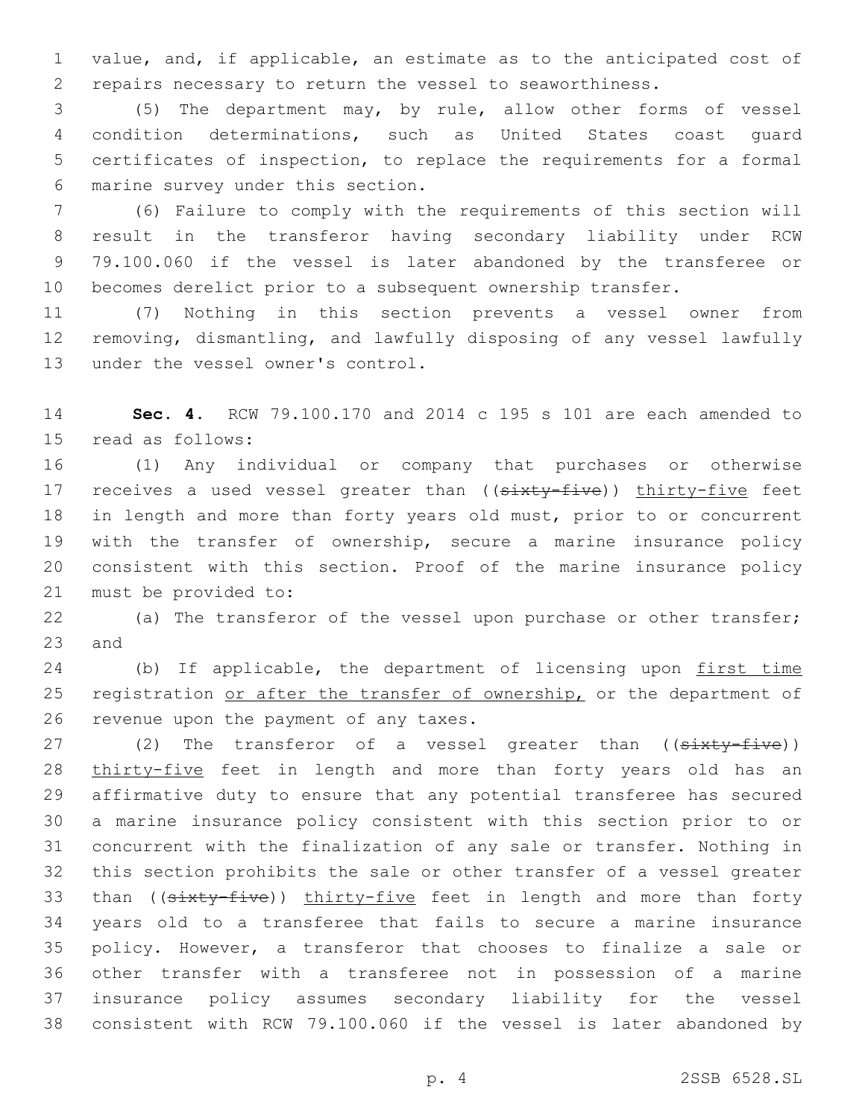value, and, if applicable, an estimate as to the anticipated cost of repairs necessary to return the vessel to seaworthiness.

 (5) The department may, by rule, allow other forms of vessel condition determinations, such as United States coast guard certificates of inspection, to replace the requirements for a formal marine survey under this section.6

 (6) Failure to comply with the requirements of this section will result in the transferor having secondary liability under RCW 79.100.060 if the vessel is later abandoned by the transferee or becomes derelict prior to a subsequent ownership transfer.

 (7) Nothing in this section prevents a vessel owner from removing, dismantling, and lawfully disposing of any vessel lawfully 13 under the vessel owner's control.

 **Sec. 4.** RCW 79.100.170 and 2014 c 195 s 101 are each amended to 15 read as follows:

 (1) Any individual or company that purchases or otherwise 17 receives a used vessel greater than ((sixty-five)) thirty-five feet in length and more than forty years old must, prior to or concurrent with the transfer of ownership, secure a marine insurance policy consistent with this section. Proof of the marine insurance policy 21 must be provided to:

 (a) The transferor of the vessel upon purchase or other transfer; 23 and

24 (b) If applicable, the department of licensing upon first time 25 registration or after the transfer of ownership, or the department of 26 revenue upon the payment of any taxes.

27 (2) The transferor of a vessel greater than ((sixty-five)) thirty-five feet in length and more than forty years old has an affirmative duty to ensure that any potential transferee has secured a marine insurance policy consistent with this section prior to or concurrent with the finalization of any sale or transfer. Nothing in this section prohibits the sale or other transfer of a vessel greater 33 than ((sixty-five)) thirty-five feet in length and more than forty years old to a transferee that fails to secure a marine insurance policy. However, a transferor that chooses to finalize a sale or other transfer with a transferee not in possession of a marine insurance policy assumes secondary liability for the vessel consistent with RCW 79.100.060 if the vessel is later abandoned by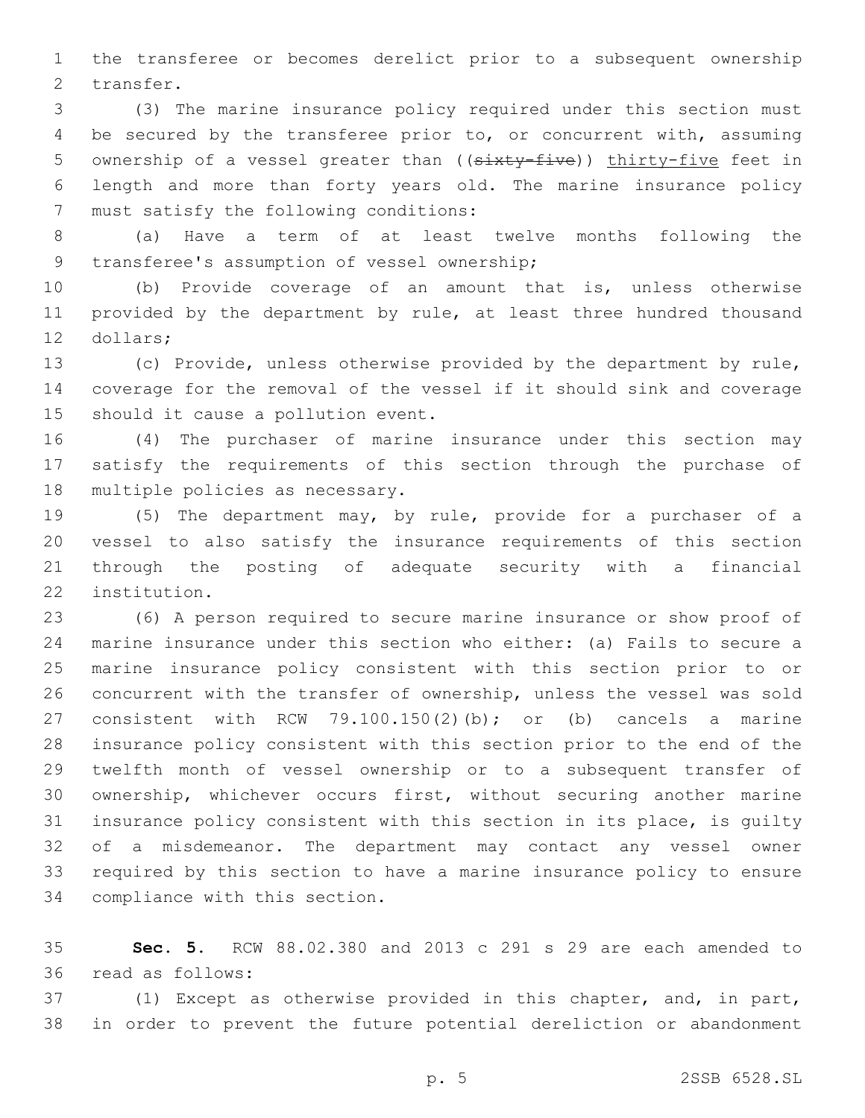the transferee or becomes derelict prior to a subsequent ownership 2 transfer.

 (3) The marine insurance policy required under this section must be secured by the transferee prior to, or concurrent with, assuming 5 ownership of a vessel greater than ((sixty-five)) thirty-five feet in length and more than forty years old. The marine insurance policy 7 must satisfy the following conditions:

 (a) Have a term of at least twelve months following the 9 transferee's assumption of vessel ownership;

 (b) Provide coverage of an amount that is, unless otherwise 11 provided by the department by rule, at least three hundred thousand 12 dollars;

 (c) Provide, unless otherwise provided by the department by rule, coverage for the removal of the vessel if it should sink and coverage 15 should it cause a pollution event.

 (4) The purchaser of marine insurance under this section may satisfy the requirements of this section through the purchase of 18 multiple policies as necessary.

 (5) The department may, by rule, provide for a purchaser of a vessel to also satisfy the insurance requirements of this section through the posting of adequate security with a financial 22 institution.

 (6) A person required to secure marine insurance or show proof of marine insurance under this section who either: (a) Fails to secure a marine insurance policy consistent with this section prior to or concurrent with the transfer of ownership, unless the vessel was sold consistent with RCW 79.100.150(2)(b); or (b) cancels a marine insurance policy consistent with this section prior to the end of the twelfth month of vessel ownership or to a subsequent transfer of ownership, whichever occurs first, without securing another marine insurance policy consistent with this section in its place, is guilty of a misdemeanor. The department may contact any vessel owner required by this section to have a marine insurance policy to ensure 34 compliance with this section.

 **Sec. 5.** RCW 88.02.380 and 2013 c 291 s 29 are each amended to read as follows:36

 (1) Except as otherwise provided in this chapter, and, in part, in order to prevent the future potential dereliction or abandonment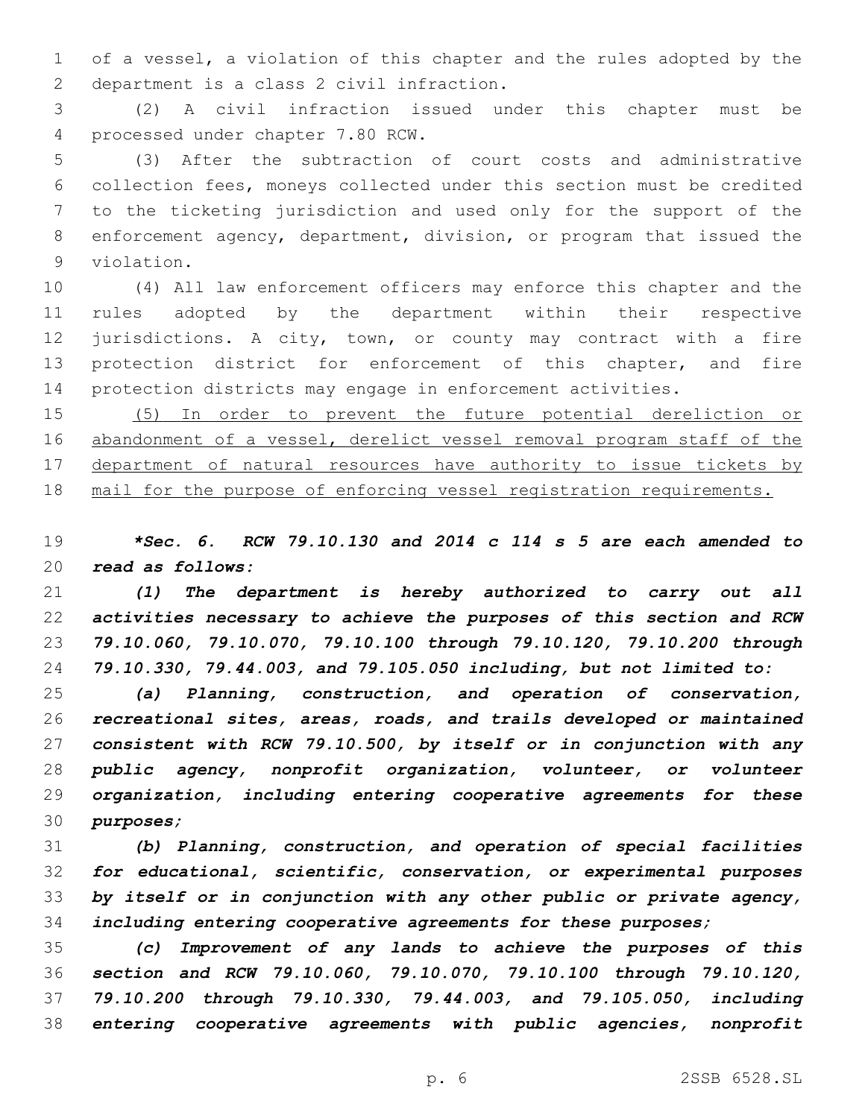of a vessel, a violation of this chapter and the rules adopted by the 2 department is a class 2 civil infraction.

 (2) A civil infraction issued under this chapter must be 4 processed under chapter 7.80 RCW.

 (3) After the subtraction of court costs and administrative collection fees, moneys collected under this section must be credited to the ticketing jurisdiction and used only for the support of the enforcement agency, department, division, or program that issued the 9 violation.

 (4) All law enforcement officers may enforce this chapter and the rules adopted by the department within their respective jurisdictions. A city, town, or county may contract with a fire protection district for enforcement of this chapter, and fire protection districts may engage in enforcement activities.

 (5) In order to prevent the future potential dereliction or abandonment of a vessel, derelict vessel removal program staff of the 17 department of natural resources have authority to issue tickets by mail for the purpose of enforcing vessel registration requirements.

 *\*Sec. 6. RCW 79.10.130 and 2014 c 114 s 5 are each amended to read as follows:*

 *(1) The department is hereby authorized to carry out all activities necessary to achieve the purposes of this section and RCW 79.10.060, 79.10.070, 79.10.100 through 79.10.120, 79.10.200 through 79.10.330, 79.44.003, and 79.105.050 including, but not limited to:*

 *(a) Planning, construction, and operation of conservation, recreational sites, areas, roads, and trails developed or maintained consistent with RCW 79.10.500, by itself or in conjunction with any public agency, nonprofit organization, volunteer, or volunteer organization, including entering cooperative agreements for these purposes;*

 *(b) Planning, construction, and operation of special facilities for educational, scientific, conservation, or experimental purposes by itself or in conjunction with any other public or private agency, including entering cooperative agreements for these purposes;*

 *(c) Improvement of any lands to achieve the purposes of this section and RCW 79.10.060, 79.10.070, 79.10.100 through 79.10.120, 79.10.200 through 79.10.330, 79.44.003, and 79.105.050, including entering cooperative agreements with public agencies, nonprofit*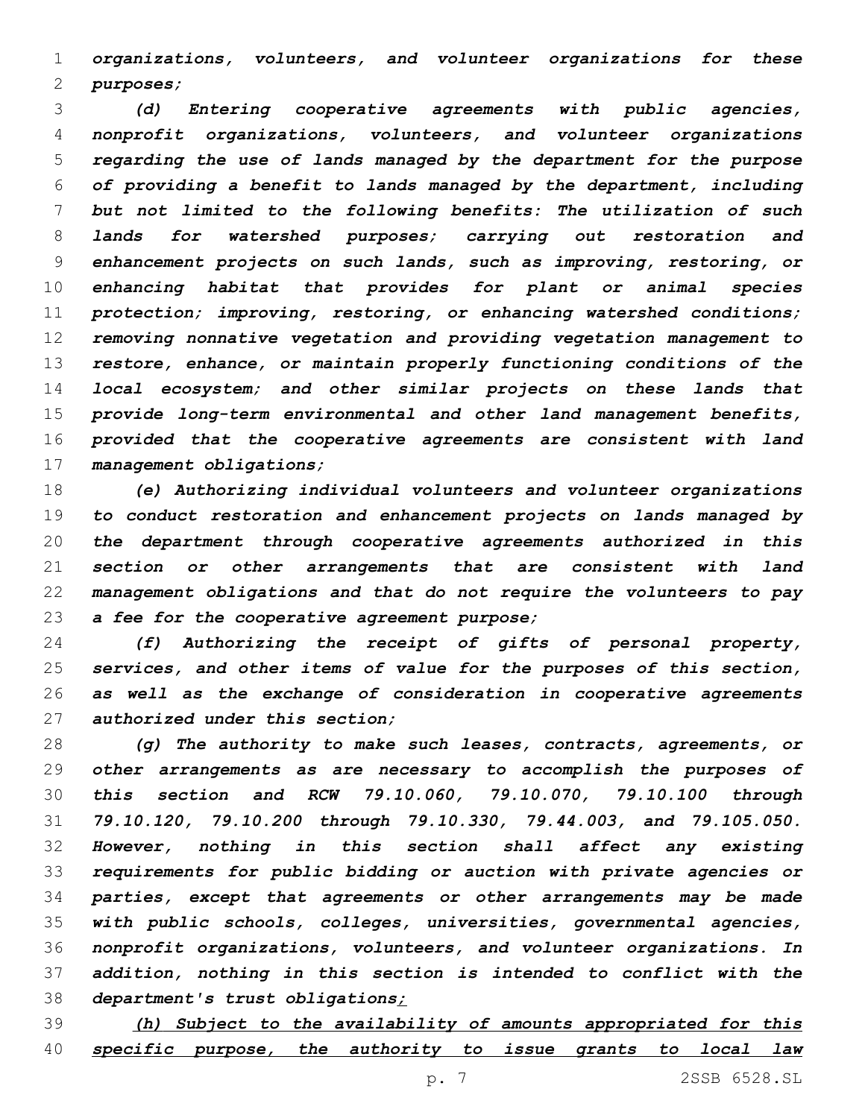*organizations, volunteers, and volunteer organizations for these purposes;*

 *(d) Entering cooperative agreements with public agencies, nonprofit organizations, volunteers, and volunteer organizations regarding the use of lands managed by the department for the purpose of providing a benefit to lands managed by the department, including but not limited to the following benefits: The utilization of such lands for watershed purposes; carrying out restoration and enhancement projects on such lands, such as improving, restoring, or enhancing habitat that provides for plant or animal species protection; improving, restoring, or enhancing watershed conditions; removing nonnative vegetation and providing vegetation management to restore, enhance, or maintain properly functioning conditions of the local ecosystem; and other similar projects on these lands that provide long-term environmental and other land management benefits, provided that the cooperative agreements are consistent with land management obligations;*

 *(e) Authorizing individual volunteers and volunteer organizations to conduct restoration and enhancement projects on lands managed by the department through cooperative agreements authorized in this section or other arrangements that are consistent with land management obligations and that do not require the volunteers to pay a fee for the cooperative agreement purpose;*

 *(f) Authorizing the receipt of gifts of personal property, services, and other items of value for the purposes of this section, as well as the exchange of consideration in cooperative agreements authorized under this section;*

 *(g) The authority to make such leases, contracts, agreements, or other arrangements as are necessary to accomplish the purposes of this section and RCW 79.10.060, 79.10.070, 79.10.100 through 79.10.120, 79.10.200 through 79.10.330, 79.44.003, and 79.105.050. However, nothing in this section shall affect any existing requirements for public bidding or auction with private agencies or parties, except that agreements or other arrangements may be made with public schools, colleges, universities, governmental agencies, nonprofit organizations, volunteers, and volunteer organizations. In addition, nothing in this section is intended to conflict with the department's trust obligations;*

 *(h) Subject to the availability of amounts appropriated for this specific purpose, the authority to issue grants to local law*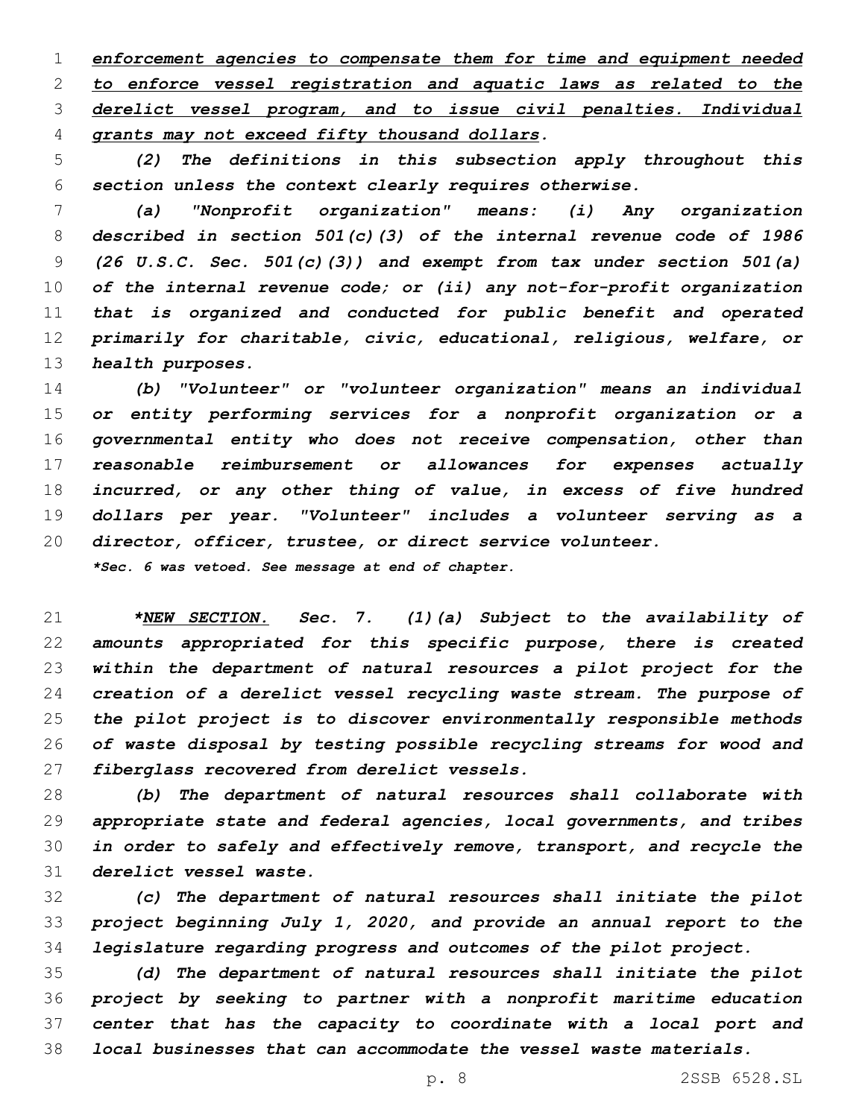*enforcement agencies to compensate them for time and equipment needed to enforce vessel registration and aquatic laws as related to the derelict vessel program, and to issue civil penalties. Individual grants may not exceed fifty thousand dollars.*

 *(2) The definitions in this subsection apply throughout this section unless the context clearly requires otherwise.*

 *(a) "Nonprofit organization" means: (i) Any organization described in section 501(c)(3) of the internal revenue code of 1986 (26 U.S.C. Sec. 501(c)(3)) and exempt from tax under section 501(a) of the internal revenue code; or (ii) any not-for-profit organization that is organized and conducted for public benefit and operated primarily for charitable, civic, educational, religious, welfare, or health purposes.*

 *(b) "Volunteer" or "volunteer organization" means an individual or entity performing services for a nonprofit organization or a governmental entity who does not receive compensation, other than reasonable reimbursement or allowances for expenses actually incurred, or any other thing of value, in excess of five hundred dollars per year. "Volunteer" includes a volunteer serving as a director, officer, trustee, or direct service volunteer. \*Sec. 6 was vetoed. See message at end of chapter.*

 *\*NEW SECTION. Sec. 7. (1)(a) Subject to the availability of amounts appropriated for this specific purpose, there is created within the department of natural resources a pilot project for the creation of a derelict vessel recycling waste stream. The purpose of the pilot project is to discover environmentally responsible methods of waste disposal by testing possible recycling streams for wood and fiberglass recovered from derelict vessels.*

 *(b) The department of natural resources shall collaborate with appropriate state and federal agencies, local governments, and tribes in order to safely and effectively remove, transport, and recycle the derelict vessel waste.*

 *(c) The department of natural resources shall initiate the pilot project beginning July 1, 2020, and provide an annual report to the legislature regarding progress and outcomes of the pilot project.*

 *(d) The department of natural resources shall initiate the pilot project by seeking to partner with a nonprofit maritime education center that has the capacity to coordinate with a local port and local businesses that can accommodate the vessel waste materials.*